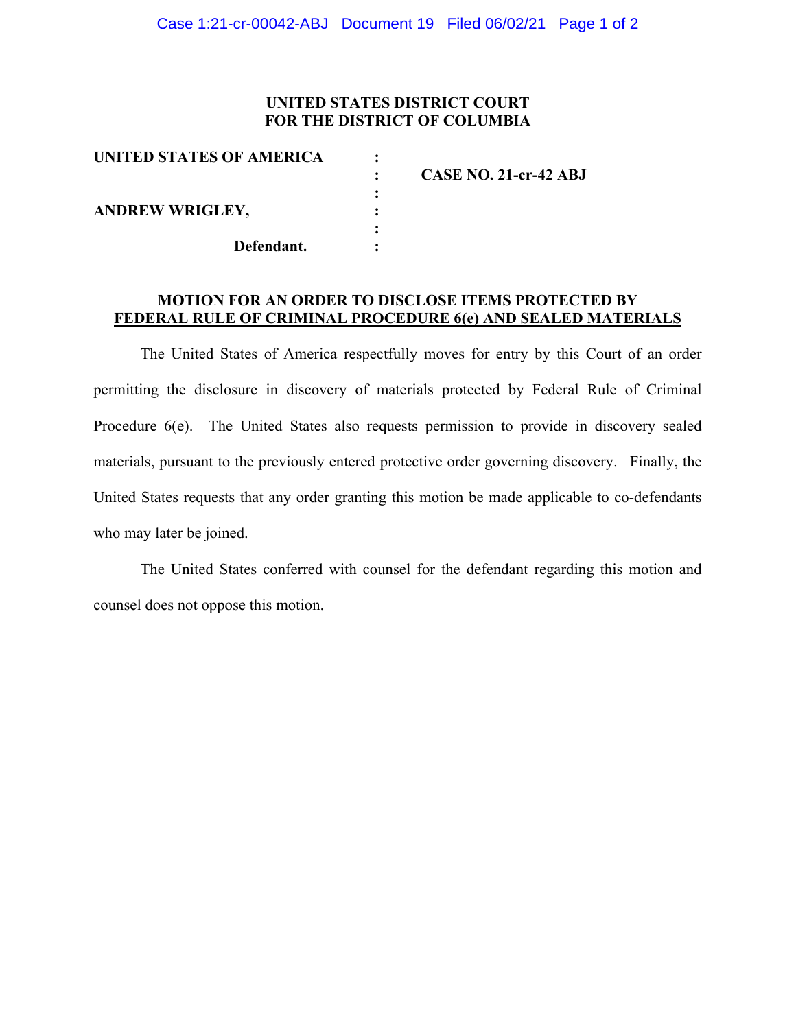## **UNITED STATES DISTRICT COURT FOR THE DISTRICT OF COLUMBIA**

| <b>UNITED STATES OF AMERICA</b> |                       |
|---------------------------------|-----------------------|
|                                 | CASE NO. 21-cr-42 ABJ |
|                                 |                       |
| <b>ANDREW WRIGLEY,</b>          |                       |
|                                 |                       |
| Defendant.                      |                       |

## **MOTION FOR AN ORDER TO DISCLOSE ITEMS PROTECTED BY FEDERAL RULE OF CRIMINAL PROCEDURE 6(e) AND SEALED MATERIALS**

The United States of America respectfully moves for entry by this Court of an order permitting the disclosure in discovery of materials protected by Federal Rule of Criminal Procedure 6(e). The United States also requests permission to provide in discovery sealed materials, pursuant to the previously entered protective order governing discovery. Finally, the United States requests that any order granting this motion be made applicable to co-defendants who may later be joined.

The United States conferred with counsel for the defendant regarding this motion and counsel does not oppose this motion.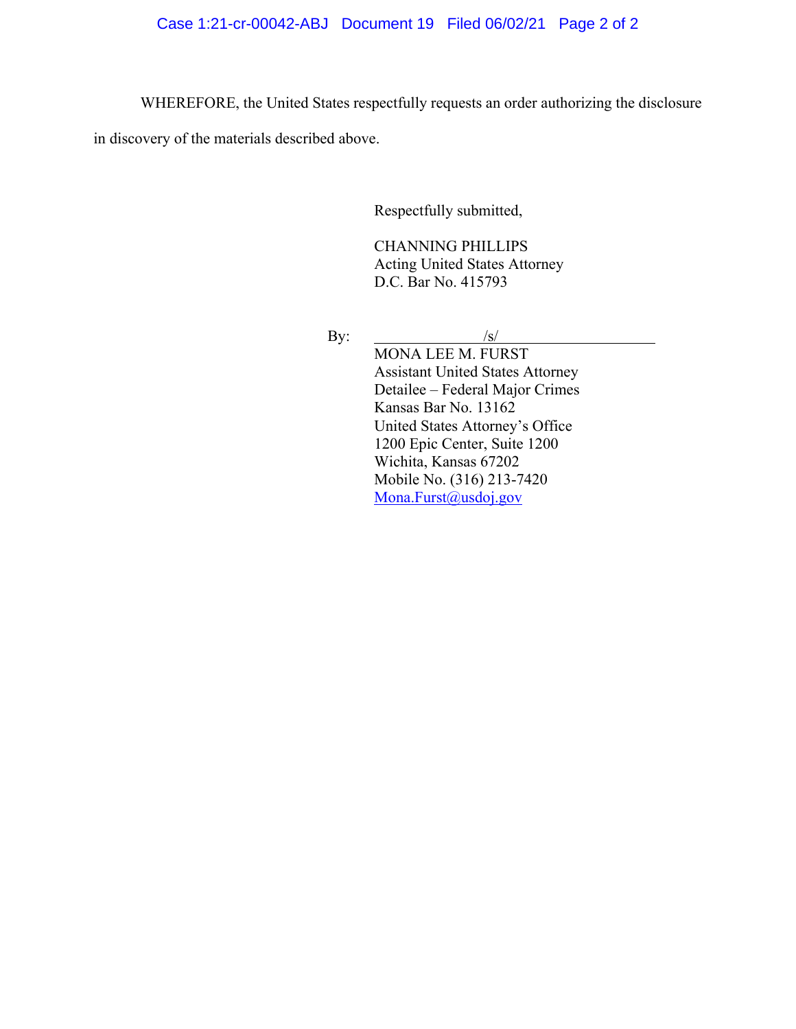WHEREFORE, the United States respectfully requests an order authorizing the disclosure

in discovery of the materials described above.

Respectfully submitted,

CHANNING PHILLIPS Acting United States Attorney D.C. Bar No. 415793

By:  $/s/$ 

MONA LEE M. FURST Assistant United States Attorney Detailee – Federal Major Crimes Kansas Bar No. 13162 United States Attorney's Office 1200 Epic Center, Suite 1200 Wichita, Kansas 67202 Mobile No. (316) 213-7420 Mona.Furst@usdoj.gov